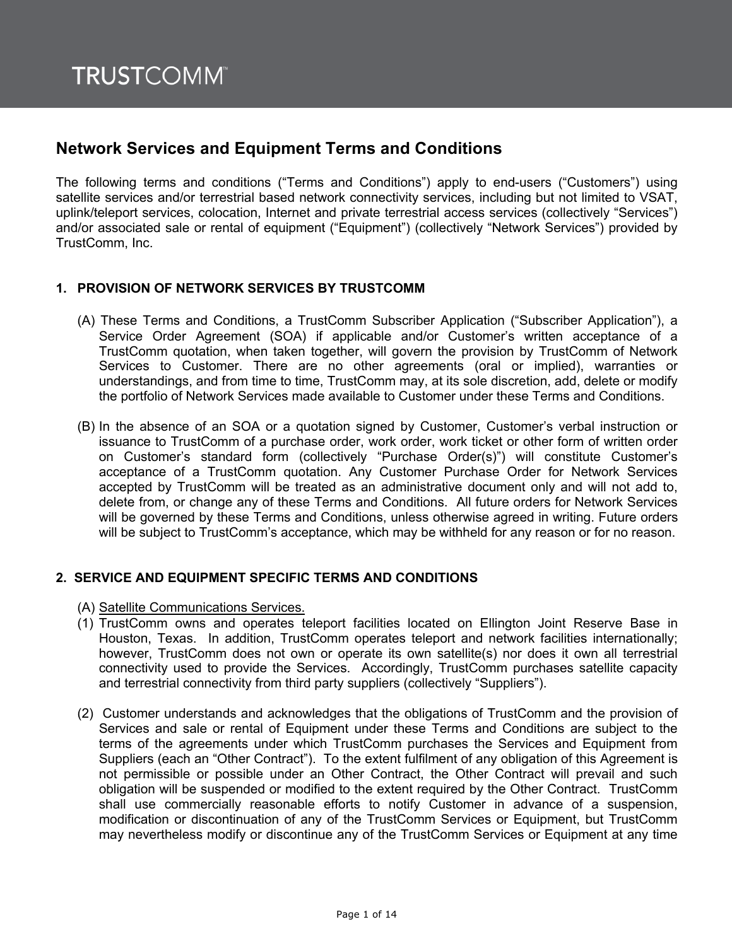# **Network Services and Equipment Terms and Conditions**

The following terms and conditions ("Terms and Conditions") apply to end-users ("Customers") using satellite services and/or terrestrial based network connectivity services, including but not limited to VSAT, uplink/teleport services, colocation, Internet and private terrestrial access services (collectively "Services") and/or associated sale or rental of equipment ("Equipment") (collectively "Network Services") provided by TrustComm, Inc.

### **1. PROVISION OF NETWORK SERVICES BY TRUSTCOMM**

- (A) These Terms and Conditions, a TrustComm Subscriber Application ("Subscriber Application"), a Service Order Agreement (SOA) if applicable and/or Customer's written acceptance of a TrustComm quotation, when taken together, will govern the provision by TrustComm of Network Services to Customer. There are no other agreements (oral or implied), warranties or understandings, and from time to time, TrustComm may, at its sole discretion, add, delete or modify the portfolio of Network Services made available to Customer under these Terms and Conditions.
- (B) In the absence of an SOA or a quotation signed by Customer, Customer's verbal instruction or issuance to TrustComm of a purchase order, work order, work ticket or other form of written order on Customer's standard form (collectively "Purchase Order(s)") will constitute Customer's acceptance of a TrustComm quotation. Any Customer Purchase Order for Network Services accepted by TrustComm will be treated as an administrative document only and will not add to, delete from, or change any of these Terms and Conditions. All future orders for Network Services will be governed by these Terms and Conditions, unless otherwise agreed in writing. Future orders will be subject to TrustComm's acceptance, which may be withheld for any reason or for no reason.

#### **2. SERVICE AND EQUIPMENT SPECIFIC TERMS AND CONDITIONS**

- (A) Satellite Communications Services.
- (1) TrustComm owns and operates teleport facilities located on Ellington Joint Reserve Base in Houston, Texas. In addition, TrustComm operates teleport and network facilities internationally; however, TrustComm does not own or operate its own satellite(s) nor does it own all terrestrial connectivity used to provide the Services. Accordingly, TrustComm purchases satellite capacity and terrestrial connectivity from third party suppliers (collectively "Suppliers").
- (2) Customer understands and acknowledges that the obligations of TrustComm and the provision of Services and sale or rental of Equipment under these Terms and Conditions are subject to the terms of the agreements under which TrustComm purchases the Services and Equipment from Suppliers (each an "Other Contract"). To the extent fulfilment of any obligation of this Agreement is not permissible or possible under an Other Contract, the Other Contract will prevail and such obligation will be suspended or modified to the extent required by the Other Contract. TrustComm shall use commercially reasonable efforts to notify Customer in advance of a suspension, modification or discontinuation of any of the TrustComm Services or Equipment, but TrustComm may nevertheless modify or discontinue any of the TrustComm Services or Equipment at any time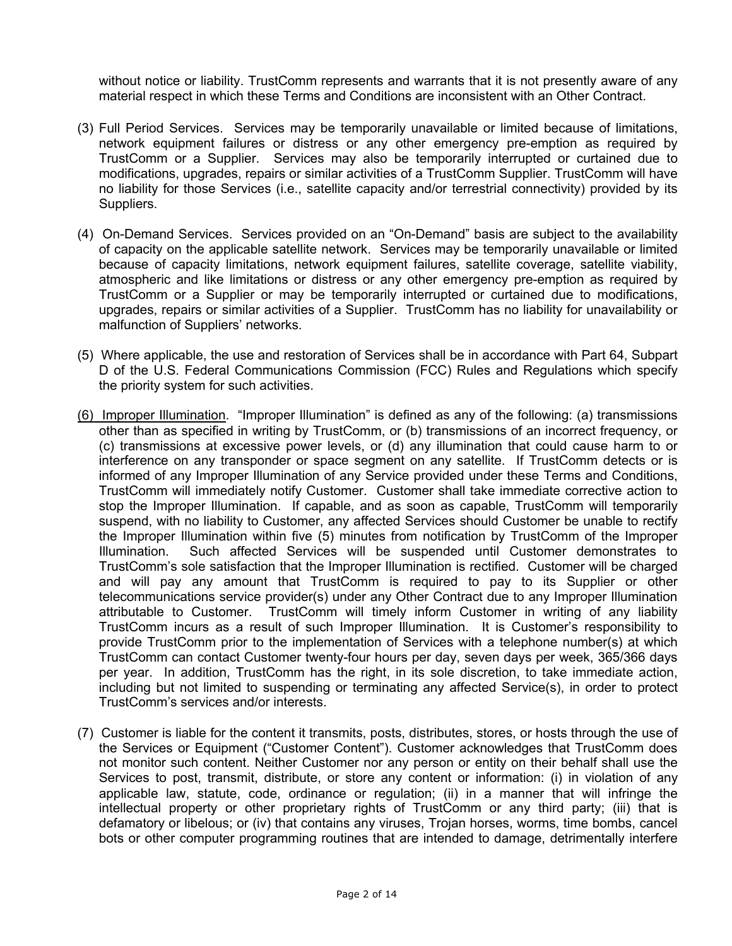without notice or liability. TrustComm represents and warrants that it is not presently aware of any material respect in which these Terms and Conditions are inconsistent with an Other Contract.

- (3) Full Period Services. Services may be temporarily unavailable or limited because of limitations, network equipment failures or distress or any other emergency pre-emption as required by TrustComm or a Supplier. Services may also be temporarily interrupted or curtained due to modifications, upgrades, repairs or similar activities of a TrustComm Supplier. TrustComm will have no liability for those Services (i.e., satellite capacity and/or terrestrial connectivity) provided by its Suppliers.
- (4) On-Demand Services. Services provided on an "On-Demand" basis are subject to the availability of capacity on the applicable satellite network. Services may be temporarily unavailable or limited because of capacity limitations, network equipment failures, satellite coverage, satellite viability, atmospheric and like limitations or distress or any other emergency pre-emption as required by TrustComm or a Supplier or may be temporarily interrupted or curtained due to modifications, upgrades, repairs or similar activities of a Supplier. TrustComm has no liability for unavailability or malfunction of Suppliers' networks.
- (5) Where applicable, the use and restoration of Services shall be in accordance with Part 64, Subpart D of the U.S. Federal Communications Commission (FCC) Rules and Regulations which specify the priority system for such activities.
- (6) Improper Illumination. "Improper Illumination" is defined as any of the following: (a) transmissions other than as specified in writing by TrustComm, or (b) transmissions of an incorrect frequency, or (c) transmissions at excessive power levels, or (d) any illumination that could cause harm to or interference on any transponder or space segment on any satellite. If TrustComm detects or is informed of any Improper Illumination of any Service provided under these Terms and Conditions, TrustComm will immediately notify Customer. Customer shall take immediate corrective action to stop the Improper Illumination. If capable, and as soon as capable, TrustComm will temporarily suspend, with no liability to Customer, any affected Services should Customer be unable to rectify the Improper Illumination within five (5) minutes from notification by TrustComm of the Improper Illumination. Such affected Services will be suspended until Customer demonstrates to TrustComm's sole satisfaction that the Improper Illumination is rectified. Customer will be charged and will pay any amount that TrustComm is required to pay to its Supplier or other telecommunications service provider(s) under any Other Contract due to any Improper Illumination attributable to Customer. TrustComm will timely inform Customer in writing of any liability TrustComm incurs as a result of such Improper Illumination. It is Customer's responsibility to provide TrustComm prior to the implementation of Services with a telephone number(s) at which TrustComm can contact Customer twenty-four hours per day, seven days per week, 365/366 days per year. In addition, TrustComm has the right, in its sole discretion, to take immediate action, including but not limited to suspending or terminating any affected Service(s), in order to protect TrustComm's services and/or interests.
- (7) Customer is liable for the content it transmits, posts, distributes, stores, or hosts through the use of the Services or Equipment ("Customer Content"). Customer acknowledges that TrustComm does not monitor such content. Neither Customer nor any person or entity on their behalf shall use the Services to post, transmit, distribute, or store any content or information: (i) in violation of any applicable law, statute, code, ordinance or regulation; (ii) in a manner that will infringe the intellectual property or other proprietary rights of TrustComm or any third party; (iii) that is defamatory or libelous; or (iv) that contains any viruses, Trojan horses, worms, time bombs, cancel bots or other computer programming routines that are intended to damage, detrimentally interfere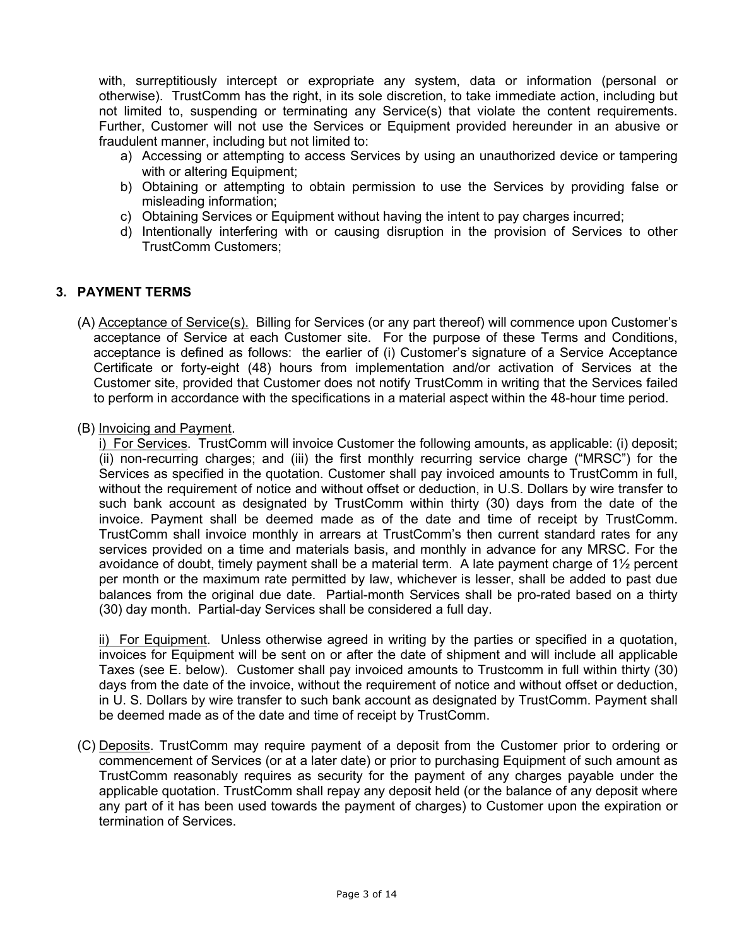with, surreptitiously intercept or expropriate any system, data or information (personal or otherwise). TrustComm has the right, in its sole discretion, to take immediate action, including but not limited to, suspending or terminating any Service(s) that violate the content requirements. Further, Customer will not use the Services or Equipment provided hereunder in an abusive or fraudulent manner, including but not limited to:

- a) Accessing or attempting to access Services by using an unauthorized device or tampering with or altering Equipment;
- b) Obtaining or attempting to obtain permission to use the Services by providing false or misleading information;
- c) Obtaining Services or Equipment without having the intent to pay charges incurred;
- d) Intentionally interfering with or causing disruption in the provision of Services to other TrustComm Customers;

#### **3. PAYMENT TERMS**

- (A) Acceptance of Service(s). Billing for Services (or any part thereof) will commence upon Customer's acceptance of Service at each Customer site. For the purpose of these Terms and Conditions, acceptance is defined as follows: the earlier of (i) Customer's signature of a Service Acceptance Certificate or forty-eight (48) hours from implementation and/or activation of Services at the Customer site, provided that Customer does not notify TrustComm in writing that the Services failed to perform in accordance with the specifications in a material aspect within the 48-hour time period.
- (B) Invoicing and Payment.

i) For Services. TrustComm will invoice Customer the following amounts, as applicable: (i) deposit; (ii) non-recurring charges; and (iii) the first monthly recurring service charge ("MRSC") for the Services as specified in the quotation. Customer shall pay invoiced amounts to TrustComm in full, without the requirement of notice and without offset or deduction, in U.S. Dollars by wire transfer to such bank account as designated by TrustComm within thirty (30) days from the date of the invoice. Payment shall be deemed made as of the date and time of receipt by TrustComm. TrustComm shall invoice monthly in arrears at TrustComm's then current standard rates for any services provided on a time and materials basis, and monthly in advance for any MRSC. For the avoidance of doubt, timely payment shall be a material term. A late payment charge of 1½ percent per month or the maximum rate permitted by law, whichever is lesser, shall be added to past due balances from the original due date. Partial-month Services shall be pro-rated based on a thirty (30) day month. Partial-day Services shall be considered a full day.

ii) For Equipment. Unless otherwise agreed in writing by the parties or specified in a quotation, invoices for Equipment will be sent on or after the date of shipment and will include all applicable Taxes (see E. below). Customer shall pay invoiced amounts to Trustcomm in full within thirty (30) days from the date of the invoice, without the requirement of notice and without offset or deduction, in U. S. Dollars by wire transfer to such bank account as designated by TrustComm. Payment shall be deemed made as of the date and time of receipt by TrustComm.

(C) Deposits. TrustComm may require payment of a deposit from the Customer prior to ordering or commencement of Services (or at a later date) or prior to purchasing Equipment of such amount as TrustComm reasonably requires as security for the payment of any charges payable under the applicable quotation. TrustComm shall repay any deposit held (or the balance of any deposit where any part of it has been used towards the payment of charges) to Customer upon the expiration or termination of Services.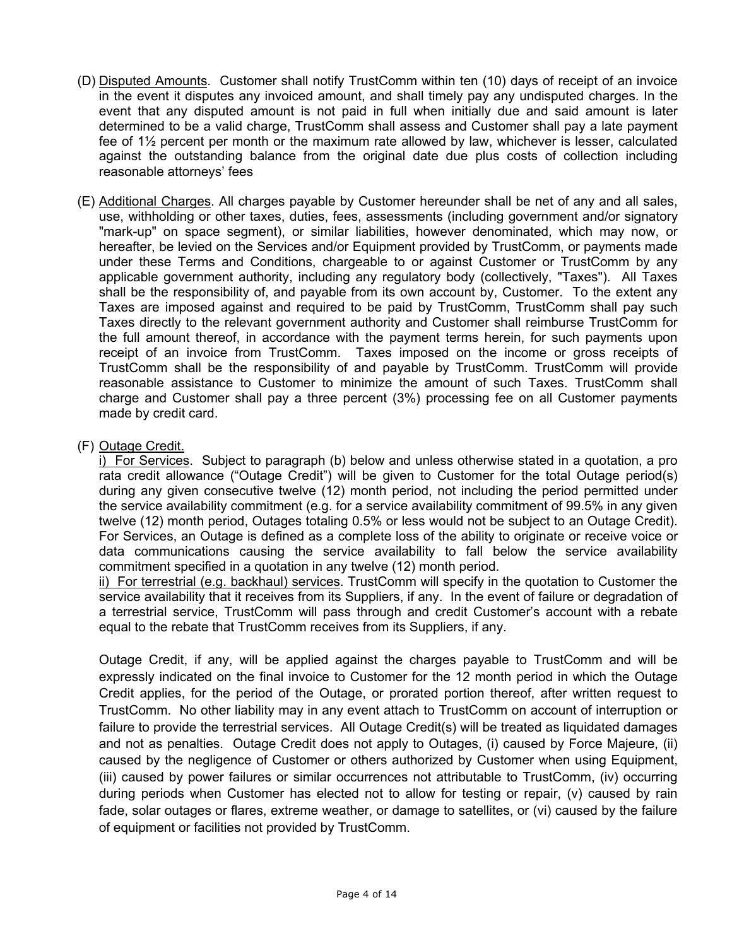- (D) Disputed Amounts. Customer shall notify TrustComm within ten (10) days of receipt of an invoice in the event it disputes any invoiced amount, and shall timely pay any undisputed charges. In the event that any disputed amount is not paid in full when initially due and said amount is later determined to be a valid charge, TrustComm shall assess and Customer shall pay a late payment fee of 1½ percent per month or the maximum rate allowed by law, whichever is lesser, calculated against the outstanding balance from the original date due plus costs of collection including reasonable attorneys' fees
- (E) Additional Charges. All charges payable by Customer hereunder shall be net of any and all sales, use, withholding or other taxes, duties, fees, assessments (including government and/or signatory "mark-up" on space segment), or similar liabilities, however denominated, which may now, or hereafter, be levied on the Services and/or Equipment provided by TrustComm, or payments made under these Terms and Conditions, chargeable to or against Customer or TrustComm by any applicable government authority, including any regulatory body (collectively, "Taxes"). All Taxes shall be the responsibility of, and payable from its own account by, Customer. To the extent any Taxes are imposed against and required to be paid by TrustComm, TrustComm shall pay such Taxes directly to the relevant government authority and Customer shall reimburse TrustComm for the full amount thereof, in accordance with the payment terms herein, for such payments upon receipt of an invoice from TrustComm. Taxes imposed on the income or gross receipts of TrustComm shall be the responsibility of and payable by TrustComm. TrustComm will provide reasonable assistance to Customer to minimize the amount of such Taxes. TrustComm shall charge and Customer shall pay a three percent (3%) processing fee on all Customer payments made by credit card.
- (F) Outage Credit.

i) For Services. Subject to paragraph (b) below and unless otherwise stated in a quotation, a pro rata credit allowance ("Outage Credit") will be given to Customer for the total Outage period(s) during any given consecutive twelve (12) month period, not including the period permitted under the service availability commitment (e.g. for a service availability commitment of 99.5% in any given twelve (12) month period, Outages totaling 0.5% or less would not be subject to an Outage Credit). For Services, an Outage is defined as a complete loss of the ability to originate or receive voice or data communications causing the service availability to fall below the service availability commitment specified in a quotation in any twelve (12) month period.

ii) For terrestrial (e.g. backhaul) services. TrustComm will specify in the quotation to Customer the service availability that it receives from its Suppliers, if any. In the event of failure or degradation of a terrestrial service, TrustComm will pass through and credit Customer's account with a rebate equal to the rebate that TrustComm receives from its Suppliers, if any.

Outage Credit, if any, will be applied against the charges payable to TrustComm and will be expressly indicated on the final invoice to Customer for the 12 month period in which the Outage Credit applies, for the period of the Outage, or prorated portion thereof, after written request to TrustComm. No other liability may in any event attach to TrustComm on account of interruption or failure to provide the terrestrial services. All Outage Credit(s) will be treated as liquidated damages and not as penalties. Outage Credit does not apply to Outages, (i) caused by Force Majeure, (ii) caused by the negligence of Customer or others authorized by Customer when using Equipment, (iii) caused by power failures or similar occurrences not attributable to TrustComm, (iv) occurring during periods when Customer has elected not to allow for testing or repair, (v) caused by rain fade, solar outages or flares, extreme weather, or damage to satellites, or (vi) caused by the failure of equipment or facilities not provided by TrustComm.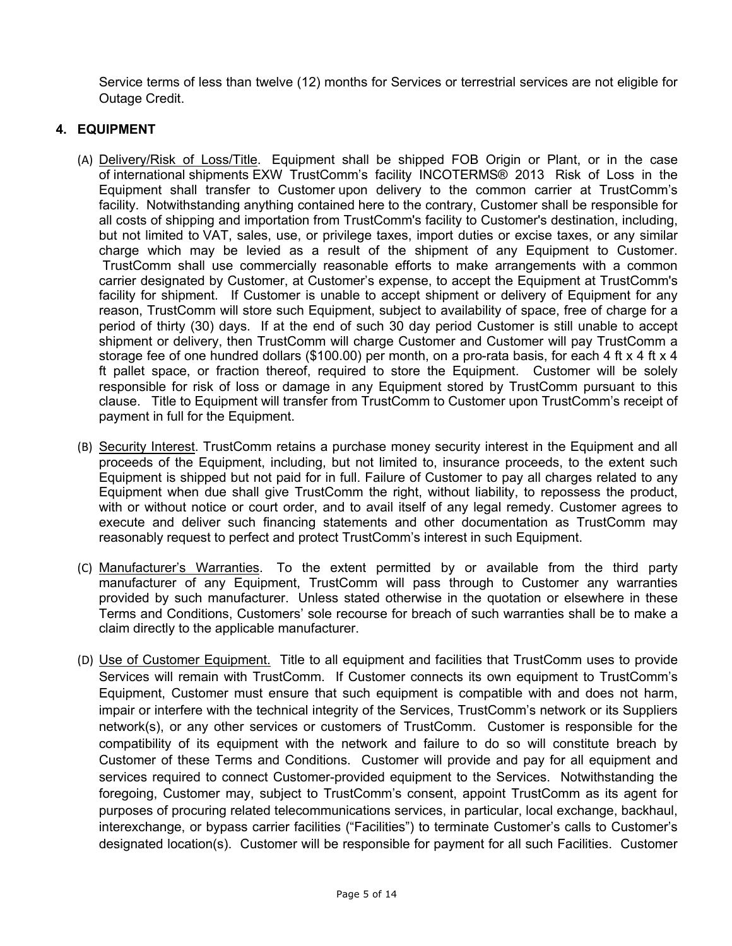Service terms of less than twelve (12) months for Services or terrestrial services are not eligible for Outage Credit.

# **4. EQUIPMENT**

- (A) Delivery/Risk of Loss/Title. Equipment shall be shipped FOB Origin or Plant, or in the case of international shipments EXW TrustComm's facility INCOTERMS® 2013 Risk of Loss in the Equipment shall transfer to Customer upon delivery to the common carrier at TrustComm's facility. Notwithstanding anything contained here to the contrary, Customer shall be responsible for all costs of shipping and importation from TrustComm's facility to Customer's destination, including, but not limited to VAT, sales, use, or privilege taxes, import duties or excise taxes, or any similar charge which may be levied as a result of the shipment of any Equipment to Customer. TrustComm shall use commercially reasonable efforts to make arrangements with a common carrier designated by Customer, at Customer's expense, to accept the Equipment at TrustComm's facility for shipment. If Customer is unable to accept shipment or delivery of Equipment for any reason, TrustComm will store such Equipment, subject to availability of space, free of charge for a period of thirty (30) days. If at the end of such 30 day period Customer is still unable to accept shipment or delivery, then TrustComm will charge Customer and Customer will pay TrustComm a storage fee of one hundred dollars (\$100.00) per month, on a pro-rata basis, for each 4 ft x 4 ft x 4 ft pallet space, or fraction thereof, required to store the Equipment. Customer will be solely responsible for risk of loss or damage in any Equipment stored by TrustComm pursuant to this clause. Title to Equipment will transfer from TrustComm to Customer upon TrustComm's receipt of payment in full for the Equipment.
- (B) Security Interest. TrustComm retains a purchase money security interest in the Equipment and all proceeds of the Equipment, including, but not limited to, insurance proceeds, to the extent such Equipment is shipped but not paid for in full. Failure of Customer to pay all charges related to any Equipment when due shall give TrustComm the right, without liability, to repossess the product, with or without notice or court order, and to avail itself of any legal remedy. Customer agrees to execute and deliver such financing statements and other documentation as TrustComm may reasonably request to perfect and protect TrustComm's interest in such Equipment.
- (C) Manufacturer's Warranties. To the extent permitted by or available from the third party manufacturer of any Equipment, TrustComm will pass through to Customer any warranties provided by such manufacturer. Unless stated otherwise in the quotation or elsewhere in these Terms and Conditions, Customers' sole recourse for breach of such warranties shall be to make a claim directly to the applicable manufacturer.
- (D) Use of Customer Equipment. Title to all equipment and facilities that TrustComm uses to provide Services will remain with TrustComm. If Customer connects its own equipment to TrustComm's Equipment, Customer must ensure that such equipment is compatible with and does not harm, impair or interfere with the technical integrity of the Services, TrustComm's network or its Suppliers network(s), or any other services or customers of TrustComm. Customer is responsible for the compatibility of its equipment with the network and failure to do so will constitute breach by Customer of these Terms and Conditions. Customer will provide and pay for all equipment and services required to connect Customer-provided equipment to the Services. Notwithstanding the foregoing, Customer may, subject to TrustComm's consent, appoint TrustComm as its agent for purposes of procuring related telecommunications services, in particular, local exchange, backhaul, interexchange, or bypass carrier facilities ("Facilities") to terminate Customer's calls to Customer's designated location(s). Customer will be responsible for payment for all such Facilities. Customer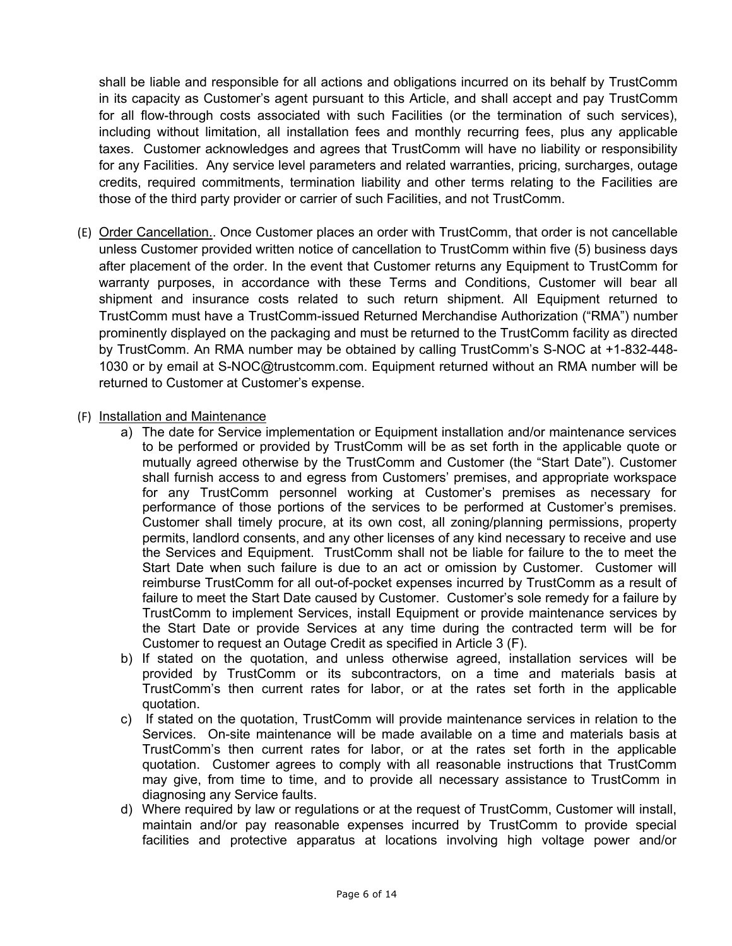shall be liable and responsible for all actions and obligations incurred on its behalf by TrustComm in its capacity as Customer's agent pursuant to this Article, and shall accept and pay TrustComm for all flow-through costs associated with such Facilities (or the termination of such services), including without limitation, all installation fees and monthly recurring fees, plus any applicable taxes. Customer acknowledges and agrees that TrustComm will have no liability or responsibility for any Facilities. Any service level parameters and related warranties, pricing, surcharges, outage credits, required commitments, termination liability and other terms relating to the Facilities are those of the third party provider or carrier of such Facilities, and not TrustComm.

- (E) Order Cancellation.. Once Customer places an order with TrustComm, that order is not cancellable unless Customer provided written notice of cancellation to TrustComm within five (5) business days after placement of the order. In the event that Customer returns any Equipment to TrustComm for warranty purposes, in accordance with these Terms and Conditions, Customer will bear all shipment and insurance costs related to such return shipment. All Equipment returned to TrustComm must have a TrustComm-issued Returned Merchandise Authorization ("RMA") number prominently displayed on the packaging and must be returned to the TrustComm facility as directed by TrustComm. An RMA number may be obtained by calling TrustComm's S-NOC at +1-832-448- 1030 or by email at S-NOC@trustcomm.com. Equipment returned without an RMA number will be returned to Customer at Customer's expense.
- (F) Installation and Maintenance
	- a) The date for Service implementation or Equipment installation and/or maintenance services to be performed or provided by TrustComm will be as set forth in the applicable quote or mutually agreed otherwise by the TrustComm and Customer (the "Start Date"). Customer shall furnish access to and egress from Customers' premises, and appropriate workspace for any TrustComm personnel working at Customer's premises as necessary for performance of those portions of the services to be performed at Customer's premises. Customer shall timely procure, at its own cost, all zoning/planning permissions, property permits, landlord consents, and any other licenses of any kind necessary to receive and use the Services and Equipment. TrustComm shall not be liable for failure to the to meet the Start Date when such failure is due to an act or omission by Customer. Customer will reimburse TrustComm for all out-of-pocket expenses incurred by TrustComm as a result of failure to meet the Start Date caused by Customer. Customer's sole remedy for a failure by TrustComm to implement Services, install Equipment or provide maintenance services by the Start Date or provide Services at any time during the contracted term will be for Customer to request an Outage Credit as specified in Article 3 (F).
	- b) If stated on the quotation, and unless otherwise agreed, installation services will be provided by TrustComm or its subcontractors, on a time and materials basis at TrustComm's then current rates for labor, or at the rates set forth in the applicable quotation.
	- c) If stated on the quotation, TrustComm will provide maintenance services in relation to the Services. On-site maintenance will be made available on a time and materials basis at TrustComm's then current rates for labor, or at the rates set forth in the applicable quotation. Customer agrees to comply with all reasonable instructions that TrustComm may give, from time to time, and to provide all necessary assistance to TrustComm in diagnosing any Service faults.
	- d) Where required by law or regulations or at the request of TrustComm, Customer will install, maintain and/or pay reasonable expenses incurred by TrustComm to provide special facilities and protective apparatus at locations involving high voltage power and/or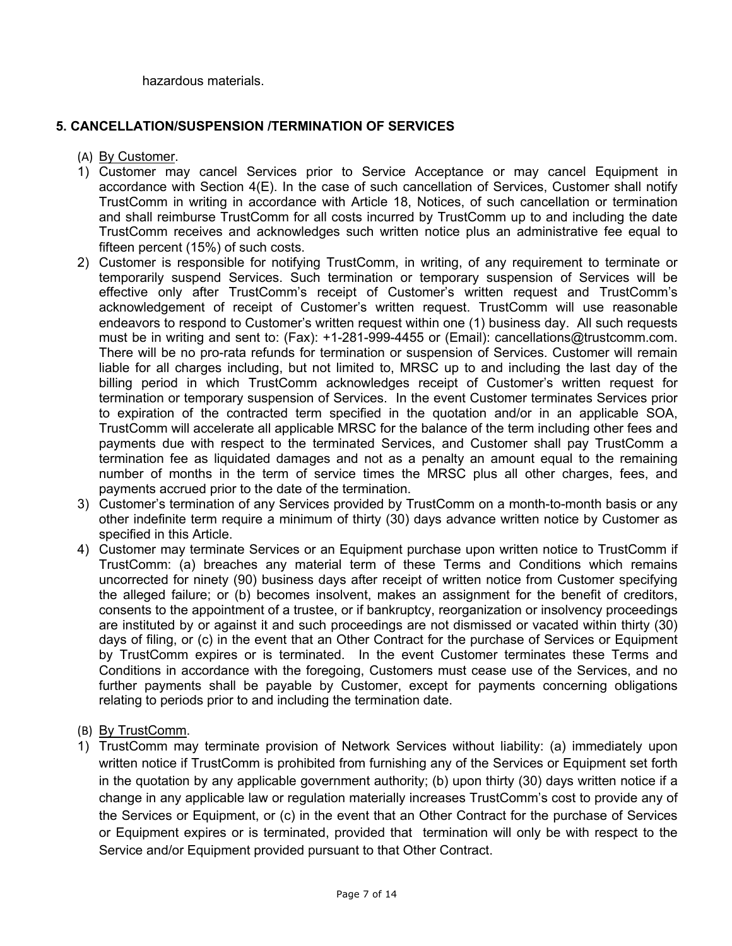hazardous materials.

# **5. CANCELLATION/SUSPENSION /TERMINATION OF SERVICES**

- (A) By Customer.
- 1) Customer may cancel Services prior to Service Acceptance or may cancel Equipment in accordance with Section 4(E). In the case of such cancellation of Services, Customer shall notify TrustComm in writing in accordance with Article 18, Notices, of such cancellation or termination and shall reimburse TrustComm for all costs incurred by TrustComm up to and including the date TrustComm receives and acknowledges such written notice plus an administrative fee equal to fifteen percent (15%) of such costs.
- 2) Customer is responsible for notifying TrustComm, in writing, of any requirement to terminate or temporarily suspend Services. Such termination or temporary suspension of Services will be effective only after TrustComm's receipt of Customer's written request and TrustComm's acknowledgement of receipt of Customer's written request. TrustComm will use reasonable endeavors to respond to Customer's written request within one (1) business day. All such requests must be in writing and sent to: (Fax): +1-281-999-4455 or (Email): cancellations@trustcomm.com. There will be no pro-rata refunds for termination or suspension of Services. Customer will remain liable for all charges including, but not limited to, MRSC up to and including the last day of the billing period in which TrustComm acknowledges receipt of Customer's written request for termination or temporary suspension of Services. In the event Customer terminates Services prior to expiration of the contracted term specified in the quotation and/or in an applicable SOA, TrustComm will accelerate all applicable MRSC for the balance of the term including other fees and payments due with respect to the terminated Services, and Customer shall pay TrustComm a termination fee as liquidated damages and not as a penalty an amount equal to the remaining number of months in the term of service times the MRSC plus all other charges, fees, and payments accrued prior to the date of the termination.
- 3) Customer's termination of any Services provided by TrustComm on a month-to-month basis or any other indefinite term require a minimum of thirty (30) days advance written notice by Customer as specified in this Article.
- 4) Customer may terminate Services or an Equipment purchase upon written notice to TrustComm if TrustComm: (a) breaches any material term of these Terms and Conditions which remains uncorrected for ninety (90) business days after receipt of written notice from Customer specifying the alleged failure; or (b) becomes insolvent, makes an assignment for the benefit of creditors, consents to the appointment of a trustee, or if bankruptcy, reorganization or insolvency proceedings are instituted by or against it and such proceedings are not dismissed or vacated within thirty (30) days of filing, or (c) in the event that an Other Contract for the purchase of Services or Equipment by TrustComm expires or is terminated. In the event Customer terminates these Terms and Conditions in accordance with the foregoing, Customers must cease use of the Services, and no further payments shall be payable by Customer, except for payments concerning obligations relating to periods prior to and including the termination date.
- (B) By TrustComm.
- 1) TrustComm may terminate provision of Network Services without liability: (a) immediately upon written notice if TrustComm is prohibited from furnishing any of the Services or Equipment set forth in the quotation by any applicable government authority; (b) upon thirty (30) days written notice if a change in any applicable law or regulation materially increases TrustComm's cost to provide any of the Services or Equipment, or (c) in the event that an Other Contract for the purchase of Services or Equipment expires or is terminated, provided that termination will only be with respect to the Service and/or Equipment provided pursuant to that Other Contract.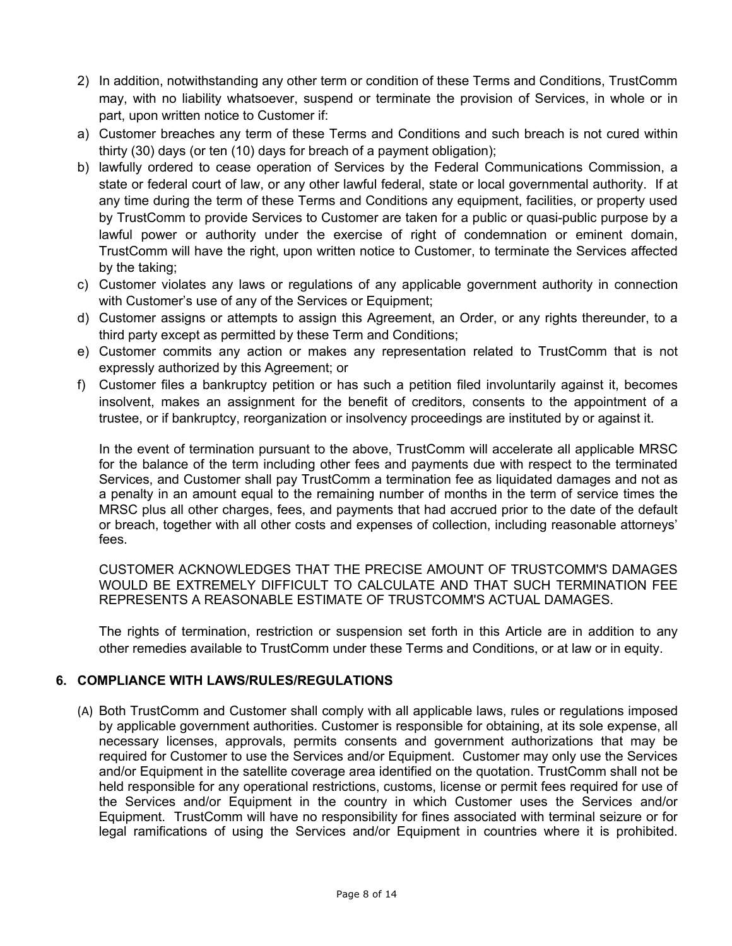- 2) In addition, notwithstanding any other term or condition of these Terms and Conditions, TrustComm may, with no liability whatsoever, suspend or terminate the provision of Services, in whole or in part, upon written notice to Customer if:
- a) Customer breaches any term of these Terms and Conditions and such breach is not cured within thirty (30) days (or ten (10) days for breach of a payment obligation);
- b) lawfully ordered to cease operation of Services by the Federal Communications Commission, a state or federal court of law, or any other lawful federal, state or local governmental authority. If at any time during the term of these Terms and Conditions any equipment, facilities, or property used by TrustComm to provide Services to Customer are taken for a public or quasi-public purpose by a lawful power or authority under the exercise of right of condemnation or eminent domain, TrustComm will have the right, upon written notice to Customer, to terminate the Services affected by the taking;
- c) Customer violates any laws or regulations of any applicable government authority in connection with Customer's use of any of the Services or Equipment;
- d) Customer assigns or attempts to assign this Agreement, an Order, or any rights thereunder, to a third party except as permitted by these Term and Conditions;
- e) Customer commits any action or makes any representation related to TrustComm that is not expressly authorized by this Agreement; or
- f) Customer files a bankruptcy petition or has such a petition filed involuntarily against it, becomes insolvent, makes an assignment for the benefit of creditors, consents to the appointment of a trustee, or if bankruptcy, reorganization or insolvency proceedings are instituted by or against it.

In the event of termination pursuant to the above, TrustComm will accelerate all applicable MRSC for the balance of the term including other fees and payments due with respect to the terminated Services, and Customer shall pay TrustComm a termination fee as liquidated damages and not as a penalty in an amount equal to the remaining number of months in the term of service times the MRSC plus all other charges, fees, and payments that had accrued prior to the date of the default or breach, together with all other costs and expenses of collection, including reasonable attorneys' fees.

CUSTOMER ACKNOWLEDGES THAT THE PRECISE AMOUNT OF TRUSTCOMM'S DAMAGES WOULD BE EXTREMELY DIFFICULT TO CALCULATE AND THAT SUCH TERMINATION FEE REPRESENTS A REASONABLE ESTIMATE OF TRUSTCOMM'S ACTUAL DAMAGES.

The rights of termination, restriction or suspension set forth in this Article are in addition to any other remedies available to TrustComm under these Terms and Conditions, or at law or in equity.

### **6. COMPLIANCE WITH LAWS/RULES/REGULATIONS**

(A) Both TrustComm and Customer shall comply with all applicable laws, rules or regulations imposed by applicable government authorities. Customer is responsible for obtaining, at its sole expense, all necessary licenses, approvals, permits consents and government authorizations that may be required for Customer to use the Services and/or Equipment. Customer may only use the Services and/or Equipment in the satellite coverage area identified on the quotation. TrustComm shall not be held responsible for any operational restrictions, customs, license or permit fees required for use of the Services and/or Equipment in the country in which Customer uses the Services and/or Equipment. TrustComm will have no responsibility for fines associated with terminal seizure or for legal ramifications of using the Services and/or Equipment in countries where it is prohibited.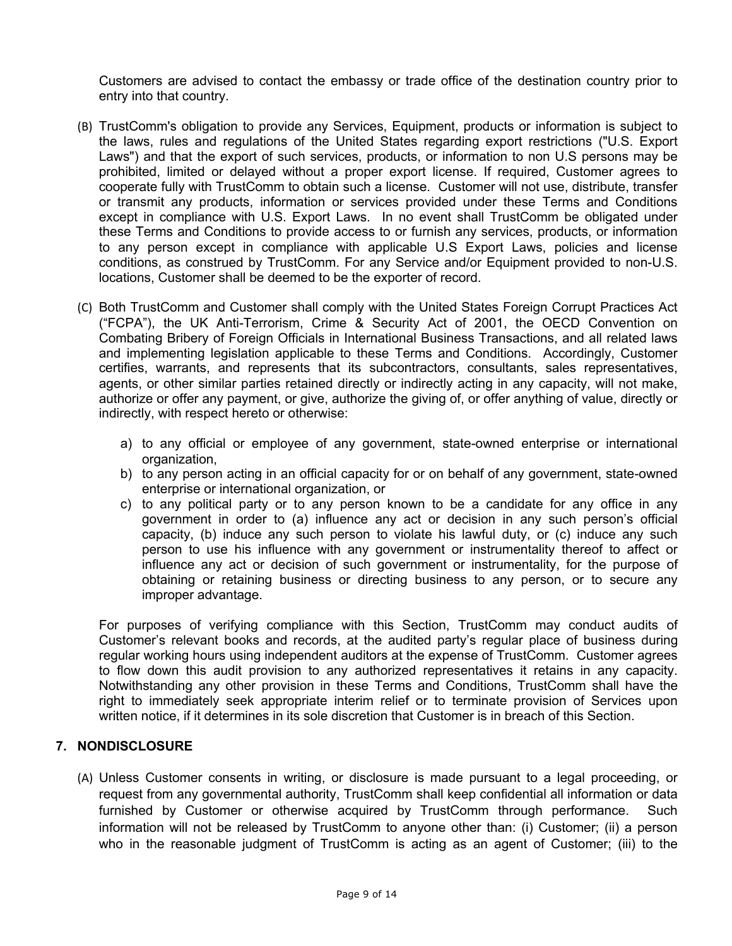Customers are advised to contact the embassy or trade office of the destination country prior to entry into that country.

- (B) TrustComm's obligation to provide any Services, Equipment, products or information is subject to the laws, rules and regulations of the United States regarding export restrictions ("U.S. Export Laws") and that the export of such services, products, or information to non U.S persons may be prohibited, limited or delayed without a proper export license. If required, Customer agrees to cooperate fully with TrustComm to obtain such a license. Customer will not use, distribute, transfer or transmit any products, information or services provided under these Terms and Conditions except in compliance with U.S. Export Laws. In no event shall TrustComm be obligated under these Terms and Conditions to provide access to or furnish any services, products, or information to any person except in compliance with applicable U.S Export Laws, policies and license conditions, as construed by TrustComm. For any Service and/or Equipment provided to non-U.S. locations, Customer shall be deemed to be the exporter of record.
- (C) Both TrustComm and Customer shall comply with the United States Foreign Corrupt Practices Act ("FCPA"), the UK Anti-Terrorism, Crime & Security Act of 2001, the OECD Convention on Combating Bribery of Foreign Officials in International Business Transactions, and all related laws and implementing legislation applicable to these Terms and Conditions. Accordingly, Customer certifies, warrants, and represents that its subcontractors, consultants, sales representatives, agents, or other similar parties retained directly or indirectly acting in any capacity, will not make, authorize or offer any payment, or give, authorize the giving of, or offer anything of value, directly or indirectly, with respect hereto or otherwise:
	- a) to any official or employee of any government, state-owned enterprise or international organization,
	- b) to any person acting in an official capacity for or on behalf of any government, state-owned enterprise or international organization, or
	- c) to any political party or to any person known to be a candidate for any office in any government in order to (a) influence any act or decision in any such person's official capacity, (b) induce any such person to violate his lawful duty, or (c) induce any such person to use his influence with any government or instrumentality thereof to affect or influence any act or decision of such government or instrumentality, for the purpose of obtaining or retaining business or directing business to any person, or to secure any improper advantage.

For purposes of verifying compliance with this Section, TrustComm may conduct audits of Customer's relevant books and records, at the audited party's regular place of business during regular working hours using independent auditors at the expense of TrustComm. Customer agrees to flow down this audit provision to any authorized representatives it retains in any capacity. Notwithstanding any other provision in these Terms and Conditions, TrustComm shall have the right to immediately seek appropriate interim relief or to terminate provision of Services upon written notice, if it determines in its sole discretion that Customer is in breach of this Section.

# **7. NONDISCLOSURE**

(A) Unless Customer consents in writing, or disclosure is made pursuant to a legal proceeding, or request from any governmental authority, TrustComm shall keep confidential all information or data furnished by Customer or otherwise acquired by TrustComm through performance. Such information will not be released by TrustComm to anyone other than: (i) Customer; (ii) a person who in the reasonable judgment of TrustComm is acting as an agent of Customer; (iii) to the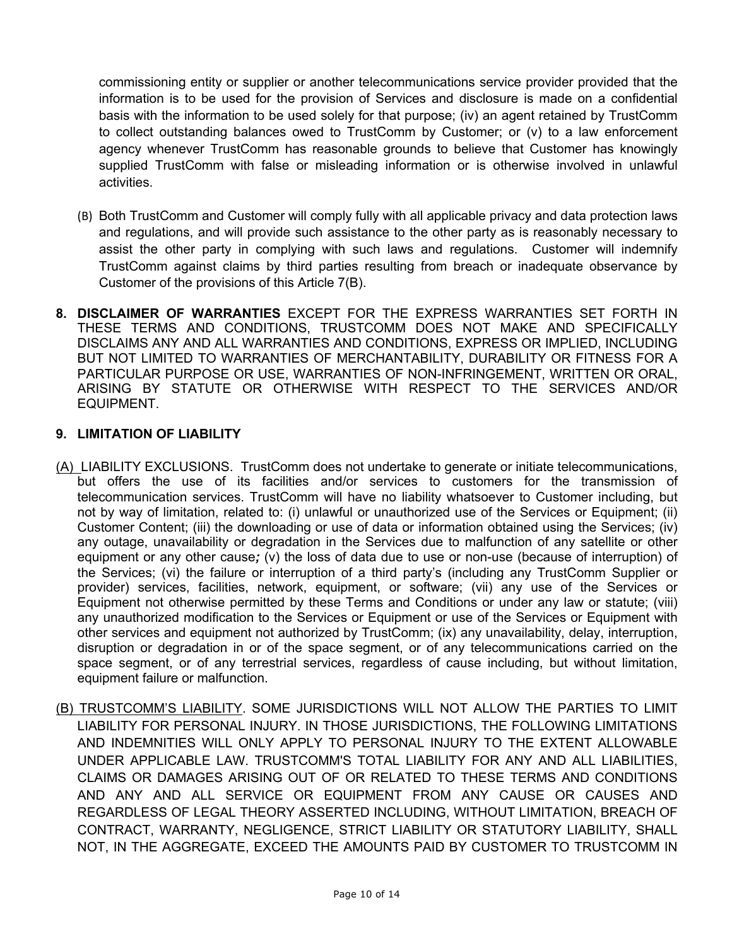commissioning entity or supplier or another telecommunications service provider provided that the information is to be used for the provision of Services and disclosure is made on a confidential basis with the information to be used solely for that purpose; (iv) an agent retained by TrustComm to collect outstanding balances owed to TrustComm by Customer; or (v) to a law enforcement agency whenever TrustComm has reasonable grounds to believe that Customer has knowingly supplied TrustComm with false or misleading information or is otherwise involved in unlawful activities.

- (B) Both TrustComm and Customer will comply fully with all applicable privacy and data protection laws and regulations, and will provide such assistance to the other party as is reasonably necessary to assist the other party in complying with such laws and regulations. Customer will indemnify TrustComm against claims by third parties resulting from breach or inadequate observance by Customer of the provisions of this Article 7(B).
- **8. DISCLAIMER OF WARRANTIES** EXCEPT FOR THE EXPRESS WARRANTIES SET FORTH IN THESE TERMS AND CONDITIONS, TRUSTCOMM DOES NOT MAKE AND SPECIFICALLY DISCLAIMS ANY AND ALL WARRANTIES AND CONDITIONS, EXPRESS OR IMPLIED, INCLUDING BUT NOT LIMITED TO WARRANTIES OF MERCHANTABILITY, DURABILITY OR FITNESS FOR A PARTICULAR PURPOSE OR USE, WARRANTIES OF NON-INFRINGEMENT, WRITTEN OR ORAL, ARISING BY STATUTE OR OTHERWISE WITH RESPECT TO THE SERVICES AND/OR EQUIPMENT.

# **9. LIMITATION OF LIABILITY**

- (A) LIABILITY EXCLUSIONS. TrustComm does not undertake to generate or initiate telecommunications, but offers the use of its facilities and/or services to customers for the transmission of telecommunication services. TrustComm will have no liability whatsoever to Customer including, but not by way of limitation, related to: (i) unlawful or unauthorized use of the Services or Equipment; (ii) Customer Content; (iii) the downloading or use of data or information obtained using the Services; (iv) any outage, unavailability or degradation in the Services due to malfunction of any satellite or other equipment or any other cause*;* (v) the loss of data due to use or non-use (because of interruption) of the Services; (vi) the failure or interruption of a third party's (including any TrustComm Supplier or provider) services, facilities, network, equipment, or software; (vii) any use of the Services or Equipment not otherwise permitted by these Terms and Conditions or under any law or statute; (viii) any unauthorized modification to the Services or Equipment or use of the Services or Equipment with other services and equipment not authorized by TrustComm; (ix) any unavailability, delay, interruption, disruption or degradation in or of the space segment, or of any telecommunications carried on the space segment, or of any terrestrial services, regardless of cause including, but without limitation, equipment failure or malfunction.
- (B) TRUSTCOMM'S LIABILITY. SOME JURISDICTIONS WILL NOT ALLOW THE PARTIES TO LIMIT LIABILITY FOR PERSONAL INJURY. IN THOSE JURISDICTIONS, THE FOLLOWING LIMITATIONS AND INDEMNITIES WILL ONLY APPLY TO PERSONAL INJURY TO THE EXTENT ALLOWABLE UNDER APPLICABLE LAW. TRUSTCOMM'S TOTAL LIABILITY FOR ANY AND ALL LIABILITIES, CLAIMS OR DAMAGES ARISING OUT OF OR RELATED TO THESE TERMS AND CONDITIONS AND ANY AND ALL SERVICE OR EQUIPMENT FROM ANY CAUSE OR CAUSES AND REGARDLESS OF LEGAL THEORY ASSERTED INCLUDING, WITHOUT LIMITATION, BREACH OF CONTRACT, WARRANTY, NEGLIGENCE, STRICT LIABILITY OR STATUTORY LIABILITY, SHALL NOT, IN THE AGGREGATE, EXCEED THE AMOUNTS PAID BY CUSTOMER TO TRUSTCOMM IN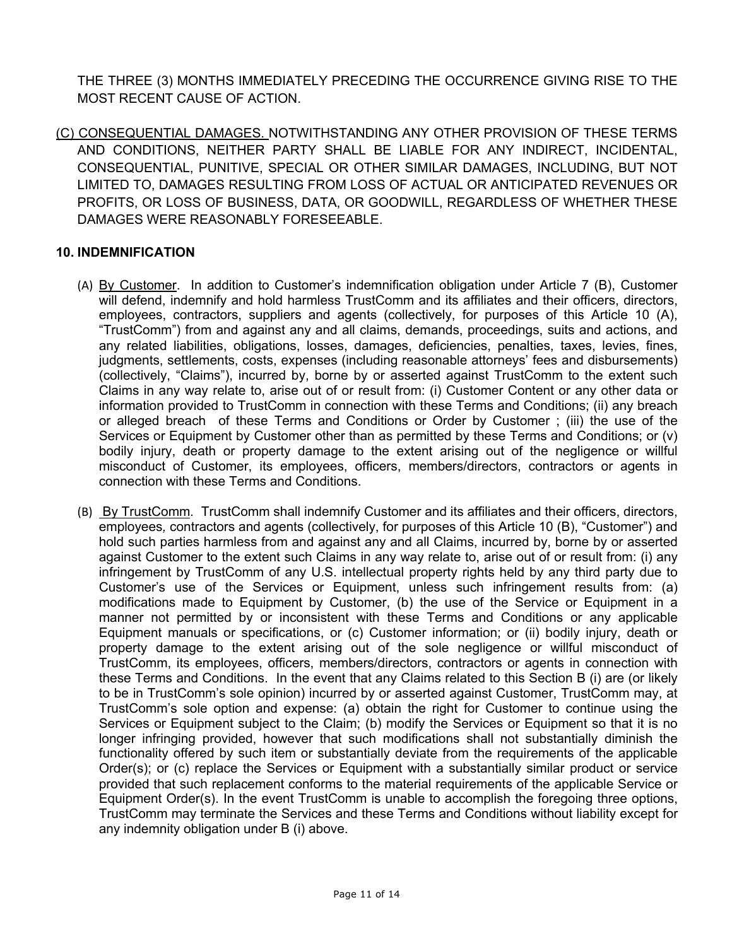THE THREE (3) MONTHS IMMEDIATELY PRECEDING THE OCCURRENCE GIVING RISE TO THE MOST RECENT CAUSE OF ACTION.

(C) CONSEQUENTIAL DAMAGES. NOTWITHSTANDING ANY OTHER PROVISION OF THESE TERMS AND CONDITIONS, NEITHER PARTY SHALL BE LIABLE FOR ANY INDIRECT, INCIDENTAL, CONSEQUENTIAL, PUNITIVE, SPECIAL OR OTHER SIMILAR DAMAGES, INCLUDING, BUT NOT LIMITED TO, DAMAGES RESULTING FROM LOSS OF ACTUAL OR ANTICIPATED REVENUES OR PROFITS, OR LOSS OF BUSINESS, DATA, OR GOODWILL, REGARDLESS OF WHETHER THESE DAMAGES WERE REASONABLY FORESEEABLE.

# **10. INDEMNIFICATION**

- (A) By Customer. In addition to Customer's indemnification obligation under Article 7 (B), Customer will defend, indemnify and hold harmless TrustComm and its affiliates and their officers, directors, employees, contractors, suppliers and agents (collectively, for purposes of this Article 10 (A), "TrustComm") from and against any and all claims, demands, proceedings, suits and actions, and any related liabilities, obligations, losses, damages, deficiencies, penalties, taxes, levies, fines, judgments, settlements, costs, expenses (including reasonable attorneys' fees and disbursements) (collectively, "Claims"), incurred by, borne by or asserted against TrustComm to the extent such Claims in any way relate to, arise out of or result from: (i) Customer Content or any other data or information provided to TrustComm in connection with these Terms and Conditions; (ii) any breach or alleged breach of these Terms and Conditions or Order by Customer ; (iii) the use of the Services or Equipment by Customer other than as permitted by these Terms and Conditions; or (v) bodily injury, death or property damage to the extent arising out of the negligence or willful misconduct of Customer, its employees, officers, members/directors, contractors or agents in connection with these Terms and Conditions.
- (B) By TrustComm*.* TrustComm shall indemnify Customer and its affiliates and their officers, directors, employees*,* contractors and agents (collectively, for purposes of this Article 10 (B), "Customer") and hold such parties harmless from and against any and all Claims, incurred by, borne by or asserted against Customer to the extent such Claims in any way relate to, arise out of or result from: (i) any infringement by TrustComm of any U.S. intellectual property rights held by any third party due to Customer's use of the Services or Equipment, unless such infringement results from: (a) modifications made to Equipment by Customer, (b) the use of the Service or Equipment in a manner not permitted by or inconsistent with these Terms and Conditions or any applicable Equipment manuals or specifications, or (c) Customer information; or (ii) bodily injury, death or property damage to the extent arising out of the sole negligence or willful misconduct of TrustComm, its employees, officers, members/directors, contractors or agents in connection with these Terms and Conditions. In the event that any Claims related to this Section B (i) are (or likely to be in TrustComm's sole opinion) incurred by or asserted against Customer, TrustComm may, at TrustComm's sole option and expense: (a) obtain the right for Customer to continue using the Services or Equipment subject to the Claim; (b) modify the Services or Equipment so that it is no longer infringing provided, however that such modifications shall not substantially diminish the functionality offered by such item or substantially deviate from the requirements of the applicable Order(s); or (c) replace the Services or Equipment with a substantially similar product or service provided that such replacement conforms to the material requirements of the applicable Service or Equipment Order(s). In the event TrustComm is unable to accomplish the foregoing three options, TrustComm may terminate the Services and these Terms and Conditions without liability except for any indemnity obligation under B (i) above.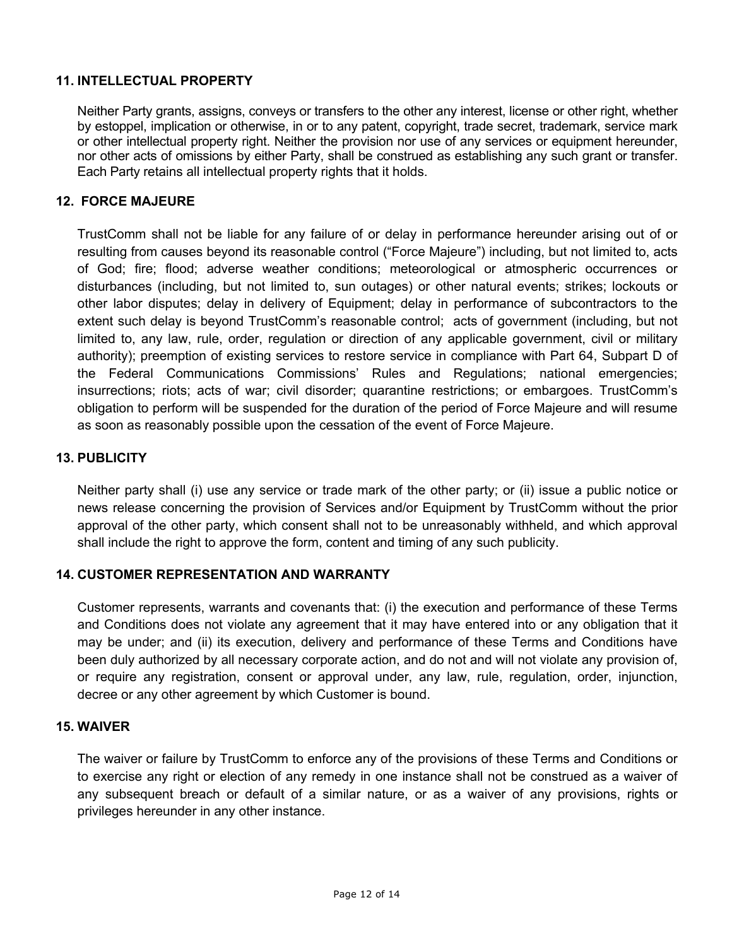# **11. INTELLECTUAL PROPERTY**

Neither Party grants, assigns, conveys or transfers to the other any interest, license or other right, whether by estoppel, implication or otherwise, in or to any patent, copyright, trade secret, trademark, service mark or other intellectual property right. Neither the provision nor use of any services or equipment hereunder, nor other acts of omissions by either Party, shall be construed as establishing any such grant or transfer. Each Party retains all intellectual property rights that it holds.

#### **12. FORCE MAJEURE**

TrustComm shall not be liable for any failure of or delay in performance hereunder arising out of or resulting from causes beyond its reasonable control ("Force Majeure") including, but not limited to, acts of God; fire; flood; adverse weather conditions; meteorological or atmospheric occurrences or disturbances (including, but not limited to, sun outages) or other natural events; strikes; lockouts or other labor disputes; delay in delivery of Equipment; delay in performance of subcontractors to the extent such delay is beyond TrustComm's reasonable control; acts of government (including, but not limited to, any law, rule, order, regulation or direction of any applicable government, civil or military authority); preemption of existing services to restore service in compliance with Part 64, Subpart D of the Federal Communications Commissions' Rules and Regulations; national emergencies; insurrections; riots; acts of war; civil disorder; quarantine restrictions; or embargoes. TrustComm's obligation to perform will be suspended for the duration of the period of Force Majeure and will resume as soon as reasonably possible upon the cessation of the event of Force Majeure.

#### **13. PUBLICITY**

Neither party shall (i) use any service or trade mark of the other party; or (ii) issue a public notice or news release concerning the provision of Services and/or Equipment by TrustComm without the prior approval of the other party, which consent shall not to be unreasonably withheld, and which approval shall include the right to approve the form, content and timing of any such publicity.

### **14. CUSTOMER REPRESENTATION AND WARRANTY**

Customer represents, warrants and covenants that: (i) the execution and performance of these Terms and Conditions does not violate any agreement that it may have entered into or any obligation that it may be under; and (ii) its execution, delivery and performance of these Terms and Conditions have been duly authorized by all necessary corporate action, and do not and will not violate any provision of, or require any registration, consent or approval under, any law, rule, regulation, order, injunction, decree or any other agreement by which Customer is bound.

#### **15. WAIVER**

The waiver or failure by TrustComm to enforce any of the provisions of these Terms and Conditions or to exercise any right or election of any remedy in one instance shall not be construed as a waiver of any subsequent breach or default of a similar nature, or as a waiver of any provisions, rights or privileges hereunder in any other instance.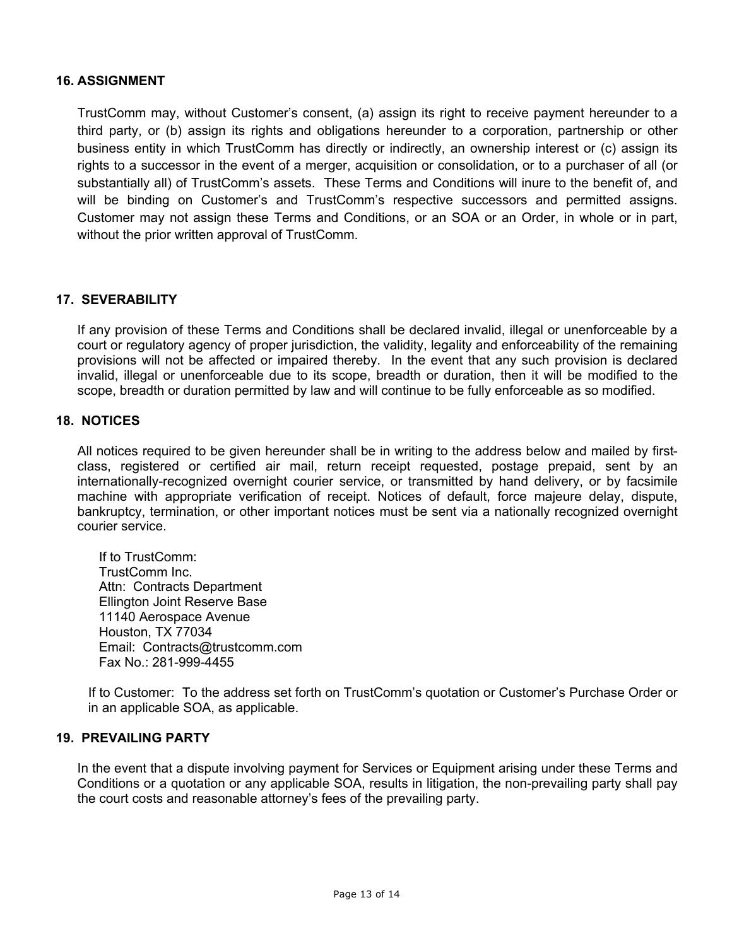### **16. ASSIGNMENT**

TrustComm may, without Customer's consent, (a) assign its right to receive payment hereunder to a third party, or (b) assign its rights and obligations hereunder to a corporation, partnership or other business entity in which TrustComm has directly or indirectly, an ownership interest or (c) assign its rights to a successor in the event of a merger, acquisition or consolidation, or to a purchaser of all (or substantially all) of TrustComm's assets. These Terms and Conditions will inure to the benefit of, and will be binding on Customer's and TrustComm's respective successors and permitted assigns. Customer may not assign these Terms and Conditions, or an SOA or an Order, in whole or in part, without the prior written approval of TrustComm.

# **17. SEVERABILITY**

If any provision of these Terms and Conditions shall be declared invalid, illegal or unenforceable by a court or regulatory agency of proper jurisdiction, the validity, legality and enforceability of the remaining provisions will not be affected or impaired thereby. In the event that any such provision is declared invalid, illegal or unenforceable due to its scope, breadth or duration, then it will be modified to the scope, breadth or duration permitted by law and will continue to be fully enforceable as so modified.

### **18. NOTICES**

All notices required to be given hereunder shall be in writing to the address below and mailed by firstclass, registered or certified air mail, return receipt requested, postage prepaid, sent by an internationally-recognized overnight courier service, or transmitted by hand delivery, or by facsimile machine with appropriate verification of receipt. Notices of default, force majeure delay, dispute, bankruptcy, termination, or other important notices must be sent via a nationally recognized overnight courier service.

If to TrustComm: TrustComm Inc. Attn: Contracts Department Ellington Joint Reserve Base 11140 Aerospace Avenue Houston, TX 77034 Email: Contracts@trustcomm.com Fax No.: 281-999-4455

If to Customer: To the address set forth on TrustComm's quotation or Customer's Purchase Order or in an applicable SOA, as applicable.

### **19. PREVAILING PARTY**

In the event that a dispute involving payment for Services or Equipment arising under these Terms and Conditions or a quotation or any applicable SOA, results in litigation, the non-prevailing party shall pay the court costs and reasonable attorney's fees of the prevailing party.